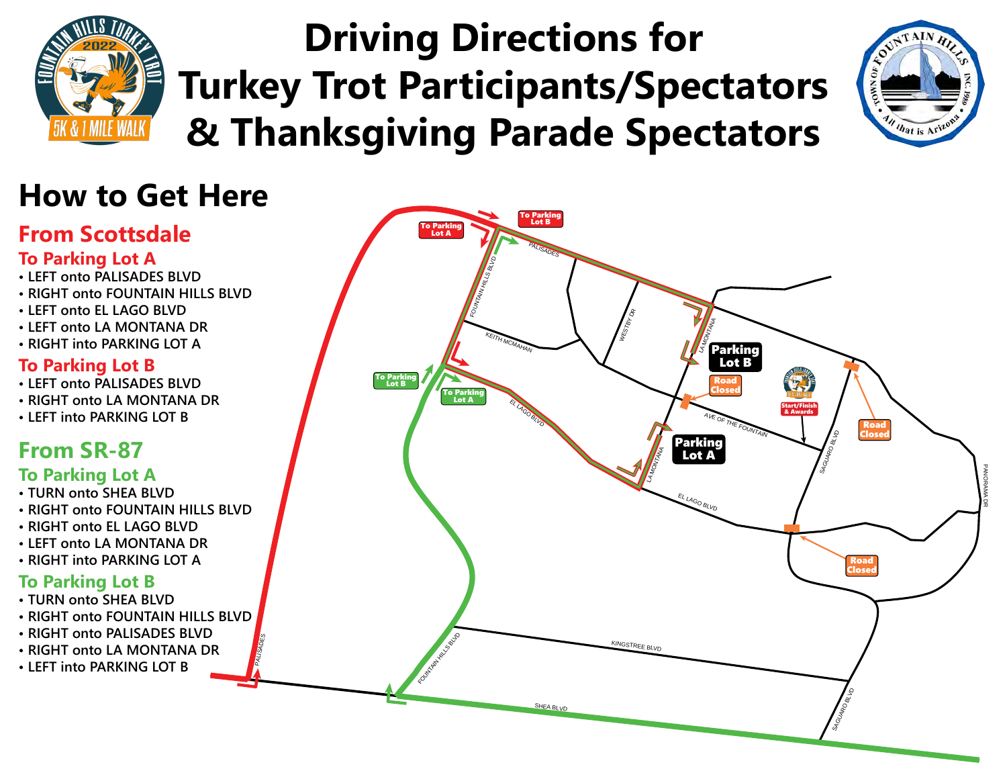

**• RIGHT onto LA MONTANA DR • LEFT into PARKING LOT B**

# **Driving Directions for Turkey Trot Participants/Spectators & Thanksgiving Parade Spectators**



PANORAMA DR

SI GUARO BLVD

SI CURDENTE

Road Closed

Road Closed



FOUNTAIN HILLS BAY

PALISADES

INGSTREE BLVD

SHEA BLVD